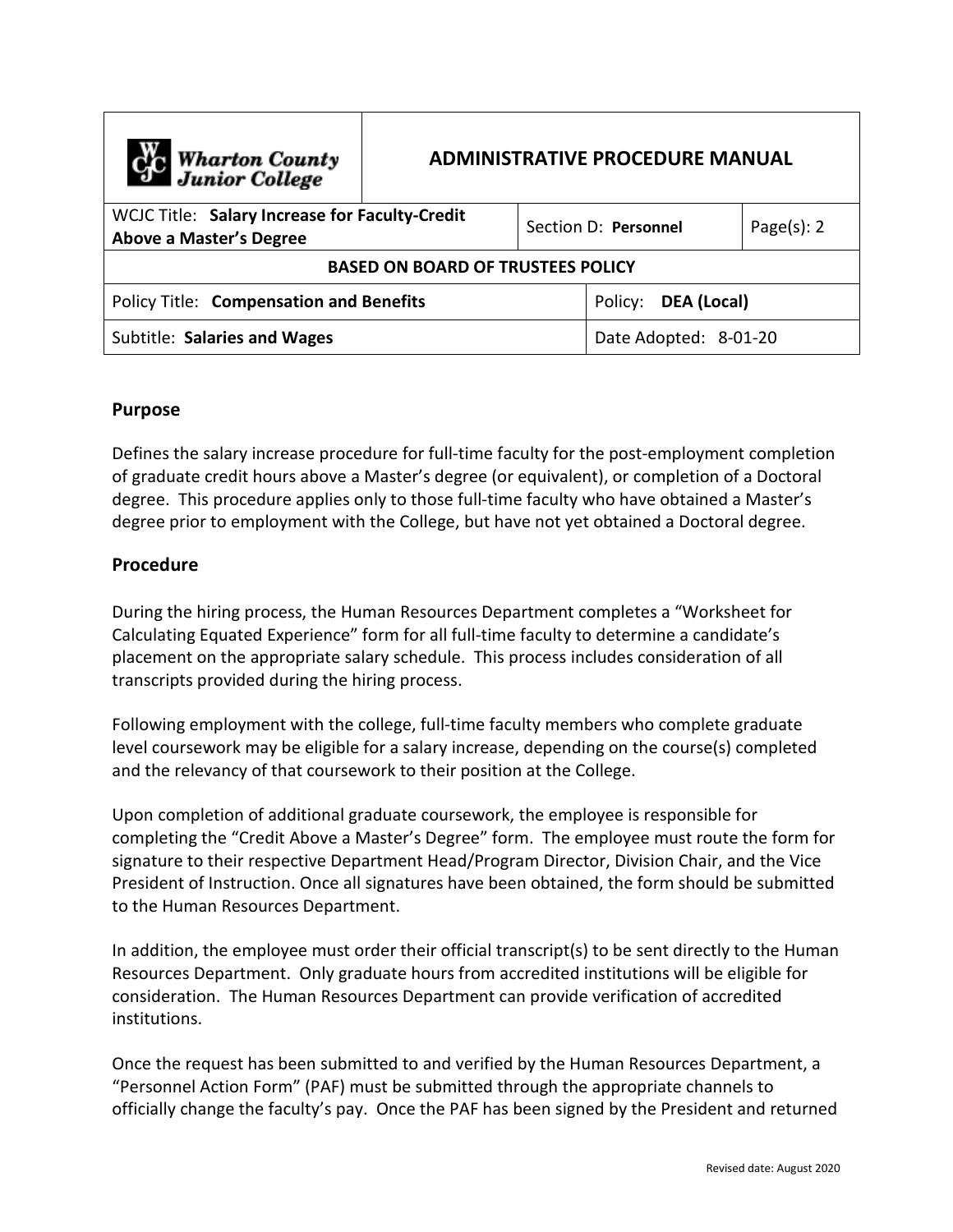| <b>Che Wharton County</b><br>Junior College                                      | <b>ADMINISTRATIVE PROCEDURE MANUAL</b> |  |                        |  |                |
|----------------------------------------------------------------------------------|----------------------------------------|--|------------------------|--|----------------|
| WCJC Title: Salary Increase for Faculty-Credit<br><b>Above a Master's Degree</b> |                                        |  | Section D: Personnel   |  | Page $(s)$ : 2 |
| <b>BASED ON BOARD OF TRUSTEES POLICY</b>                                         |                                        |  |                        |  |                |
| <b>Policy Title: Compensation and Benefits</b>                                   |                                        |  | DEA (Local)<br>Policy: |  |                |
| Subtitle: Salaries and Wages                                                     |                                        |  | Date Adopted: 8-01-20  |  |                |

## **Purpose**

Defines the salary increase procedure for full-time faculty for the post-employment completion of graduate credit hours above a Master's degree (or equivalent), or completion of a Doctoral degree. This procedure applies only to those full-time faculty who have obtained a Master's degree prior to employment with the College, but have not yet obtained a Doctoral degree.

## **Procedure**

During the hiring process, the Human Resources Department completes a "Worksheet for Calculating Equated Experience" form for all full-time faculty to determine a candidate's placement on the appropriate salary schedule. This process includes consideration of all transcripts provided during the hiring process.

Following employment with the college, full-time faculty members who complete graduate level coursework may be eligible for a salary increase, depending on the course(s) completed and the relevancy of that coursework to their position at the College.

Upon completion of additional graduate coursework, the employee is responsible for completing the "Credit Above a Master's Degree" form. The employee must route the form for signature to their respective Department Head/Program Director, Division Chair, and the Vice President of Instruction. Once all signatures have been obtained, the form should be submitted to the Human Resources Department.

In addition, the employee must order their official transcript(s) to be sent directly to the Human Resources Department. Only graduate hours from accredited institutions will be eligible for consideration. The Human Resources Department can provide verification of accredited institutions.

Once the request has been submitted to and verified by the Human Resources Department, a "Personnel Action Form" (PAF) must be submitted through the appropriate channels to officially change the faculty's pay. Once the PAF has been signed by the President and returned